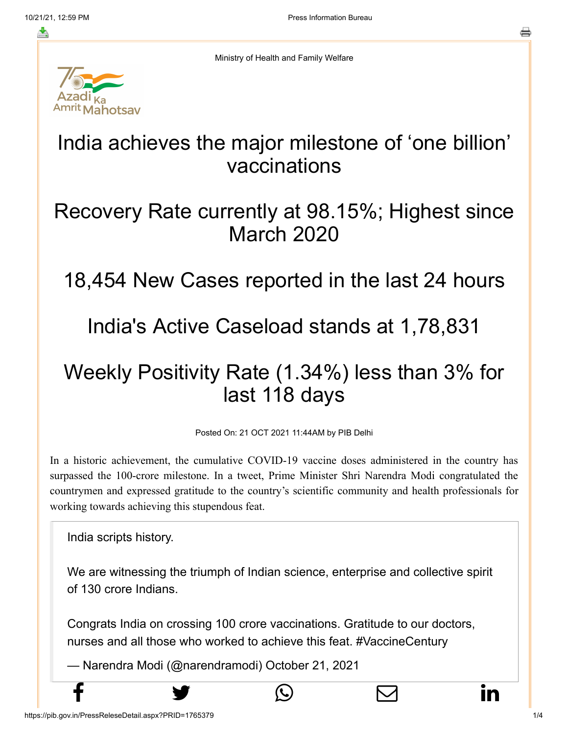≛

Ministry of Health and Family Welfare



# India achieves the major milestone of 'one billion' vaccinations

## Recovery Rate currently at 98.15%; Highest since March 2020

## 18,454 New Cases reported in the last 24 hours

## India's Active Caseload stands at 1,78,831

# Weekly Positivity Rate (1.34%) less than 3% for last 118 days

Posted On: 21 OCT 2021 11:44AM by PIB Delhi

In a historic achievement, the cumulative COVID-19 vaccine doses administered in the country has surpassed the 100-crore milestone. In a tweet, Prime Minister Shri Narendra Modi congratulated the countrymen and expressed gratitude to the country's scientific community and health professionals for working towards achieving this stupendous feat.

India scripts history.

We are witnessing the triumph of Indian science, enterprise and collective spirit of 130 crore Indians.

Congrats India on crossing 100 crore vaccinations. Gratitude to our doctors, nurses and all those who worked to achieve this feat. [#VaccineCentury](https://twitter.com/hashtag/VaccineCentury?src=hash&ref_src=twsrc%5Etfw)

 $f$  y  $\circledcirc$   $\quad \circ$  in

— Narendra Modi (@narendramodi) [October 21, 2021](https://twitter.com/narendramodi/status/1451051712387731458?ref_src=twsrc%5Etfw)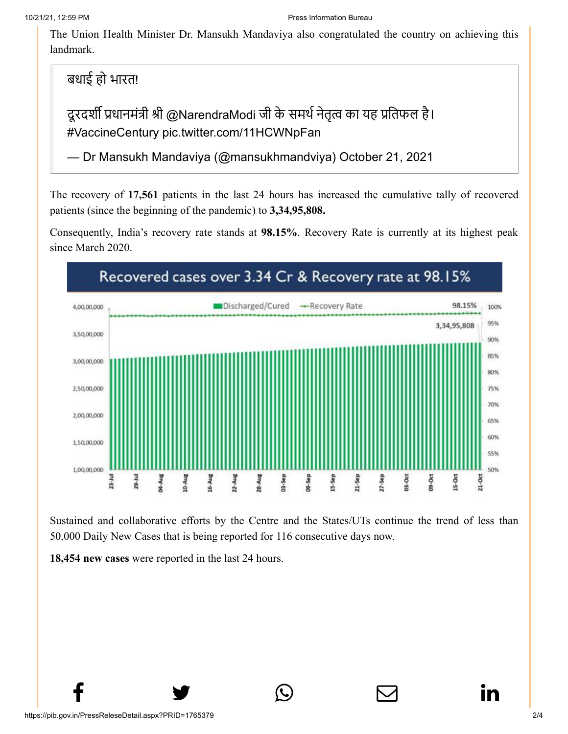[The Union Healt](http://www.facebook.com/share.php?u=https://pib.gov.in/PressReleasePage.aspx?PRID=1765379)[h Minister Dr. Mansuk](https://twitter.com/intent/tweet?url=https://pib.gov.in/PressReleasePage.aspx?PRID=1765379&text=India%20achieves%20the%20major%20milestone%20of%20%E2%80%98one%20billion%E2%80%99%20vaccinations)[h Mandaviya also con](https://api.whatsapp.com/send?text=https://pib.gov.in/PressReleasePage.aspx?PRID=1765379)[gratulated the country](https://mail.google.com/mail/?view=cm&fs=1&tf=1&to=&su=India%20achieves%20the%20major%20milestone%20of%20%E2%80%98one%20billion%E2%80%99%20vaccinations&body=https://pib.gov.in/PressReleasePage.aspx?PRID=1765379&ui=2&tf=1&pli=1) [on achieving this](https://www.linkedin.com/shareArticle?mini=true&url=https://pib.gov.in/PressReleasePage.aspx?PRID=1765379&title=India%20achieves%20the%20major%20milestone%20of%20%E2%80%98one%20billion%E2%80%99%20vaccinations&summary=My%20favorite%20developer%20program&source=LinkedIn) landmark.

बधाई हो भारत!

दूरदर्शी प्रधानमंत्री श्री [@NarendraModi](https://twitter.com/narendramodi?ref_src=twsrc%5Etfw) जी के समर्थ नेतृत्व का यह प्रतिफल है। [#VaccineCentury](https://twitter.com/hashtag/VaccineCentury?src=hash&ref_src=twsrc%5Etfw) [pic.twitter.com/11HCWNpFan](https://t.co/11HCWNpFan)

— Dr Mansukh Mandaviya (@mansukhmandviya) [October 21, 2021](https://twitter.com/mansukhmandviya/status/1451040097424470018?ref_src=twsrc%5Etfw)

The recovery of **17,561** patients in the last 24 hours has increased the cumulative tally of recovered patients (since the beginning of the pandemic) to **3,34,95,808.**

Consequently, India's recovery rate stands at **98.15%**. Recovery Rate is currently at its highest peak since March 2020.



Sustained and collaborative efforts by the Centre and the States/UTs continue the trend of less than 50,000 Daily New Cases that is being reported for 116 consecutive days now.

 $f$  y  $\circledcirc$   $\quad \circ$  in

**18,454 new cases** were reported in the last 24 hours.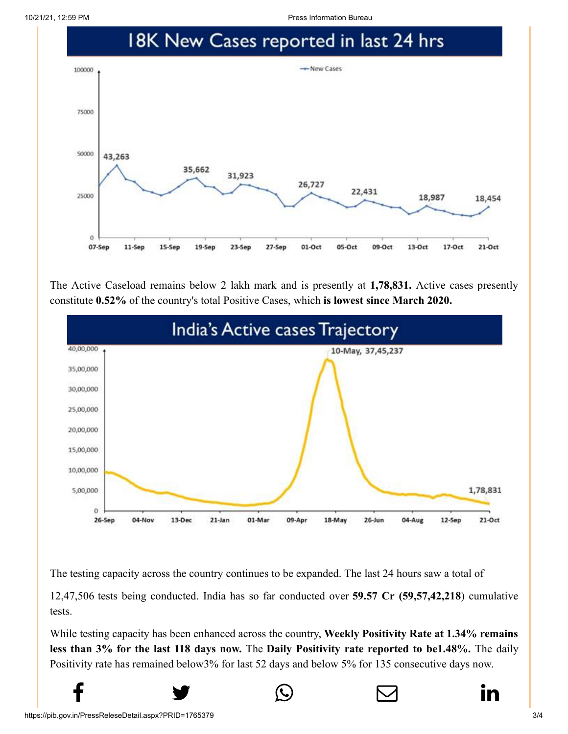10/21/21, 12:59 PM Press Information Bureau



The Active Caseload remains below 2 lakh mark and is presently at **1,78,831.** Active cases presently constitute **0.52%** of the country's total Positive Cases, which **is lowest since March 2020.**



The testing capacity across the country continues to be expanded. The last 24 hours saw a total of

12,47,506 tests being conducted. India has so far conducted over **59.57 Cr (59,57,42,218**) cumulative tests.

While testing capacity has been enhanced across the country, **Weekly Positivity Rate at 1.34% remains less than 3% for the last 118 days now.** The **Daily Positivity rate reported to be1.48%.** The daily Positivity rate has remained below3% for last 52 days and below 5% for 135 consecutive days now.

 $f$  y  $\circledcirc$   $\quad \circ$  in